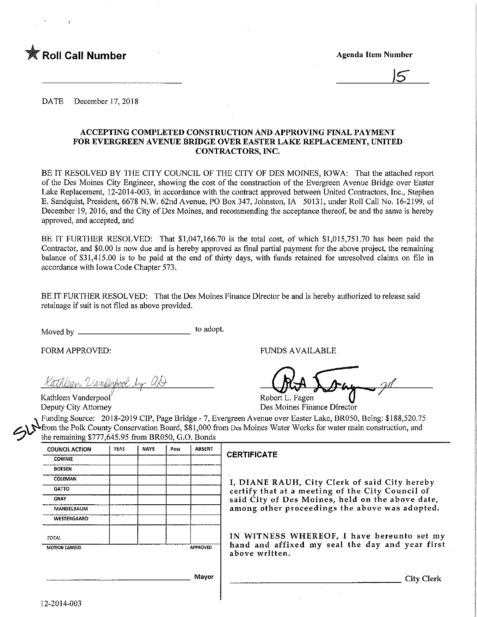

<u>J5 </u>

DATE December 17, 2018

#### ACCEPTING COMPLETED CONSTRUCTION AND APPROVING FINAL PAYMENT FOR EVERGREEN AVENUE BRIDGE OVER EASTER LAKE REPLACEMENT, UNITED CONTRACTORS, INC.

BE IT RESOLVED BY THE CITY COUNCIL OF THE CITY OF DES MOINES, IOWA: That the attached report of the Des Moines City Engineer, showing the cost of the construction of the Evergreen Avenue Bridge over Easter Lake Replacement, 12-2014-003, in accordance with the contract approved between United Contractors, Inc., Stephen E. Sandquist, President, 6678 N.W. 62nd Avenue, PO Box 347, Johnston, IA 50131, under Roll Call No. 16-2199, of December 19, 2016, and the City of Des Moines, and recommending the acceptance thereof, be and the same is hereby approved, and accepted, and

BE IT FURTHER RESOLVED: That \$1,047,166.70 is the total cost, of which \$1,015,751.70 has been paid the Contractor, and \$0.00 is now due and is hereby approved as final partial payment for the above project, the remaining balance of \$31,415.00 is to be paid at the end of thirty days, with funds retained for unresolved claims on file in accordance with Iowa Code Chapter 573.

BE IT FURTHER RESOLVED: That the Des Moines Finance Director be and is hereby authorized to release said retainage if suit is not filed as above provided.

Moved by to adopt.

Kathlean Vanderpool by aD

Kathleen Vanderpool<br>
Deputy City Attorney<br>
Des Moines Fina

FORM APPROVED: THE RESERVED OF THE RESERVED OF THE RESERVED OF THE RESERVED OF THE RESERVED OF THE RESERVED OF THE RESERVED OF THE RESERVED OF THE RESERVED OF THE RESERVED OF THE RESERVED OF THE RESERVED OF THE RESERVED OF

Des Moines Finance Director

Funding Source: 2018-2019 CIP, Page Bridge - 7, Evergreen Avenue over Easter Lake, BR050, Being: \$188,520.75 ^from the Polk County Conservation Board, \$81,000 from Des Moines Water Works for water main construction, and the remaining \$777,645.95 from BR050, G.O. Bonds

| <b>COUNCIL ACTION</b> | YEAS | <b>NAYS</b> | Pass | <b>ABSENT</b>                |                      |
|-----------------------|------|-------------|------|------------------------------|----------------------|
| <b>COWNIE</b>         |      |             |      |                              | <b>CERTIFICA</b>     |
| <b>BOESEN</b>         |      |             |      |                              |                      |
| COLEMAN               |      |             |      |                              | I, DIANI             |
| <b>GATTO</b>          |      |             |      |                              | certify th           |
| <b>GRAY</b>           |      |             |      |                              | said City            |
| MANDELBAUM            |      |             |      |                              | among of             |
| WESTERGAARD           |      |             |      |                              |                      |
| <b>TOTAL</b>          |      |             |      |                              | IN WITN              |
| <b>MOTION CARRIED</b> |      |             |      | APPROVED                     | hand and<br>above wi |
|                       |      |             |      |                              |                      |
|                       |      |             |      | <b><i><u>BA-1444</u></i></b> |                      |

## **ITE**

E RAUH, City Clerk of said City hereby hat at a meeting of the City Council of  $\check{\phantom{a}}$ of Des Moines, held on the above date, ther proceedings the above was adopted.

NESS WHEREOF, I have hereunto set my d affixed my seal the day and year first ritten.

**Mayor** 

City Clerk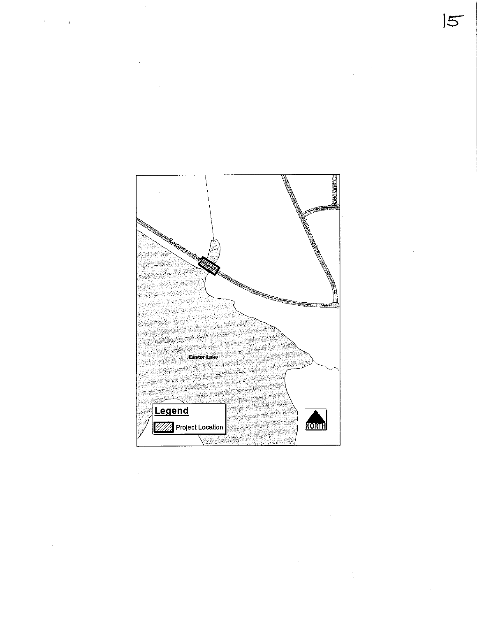

t,

 $\overline{5}$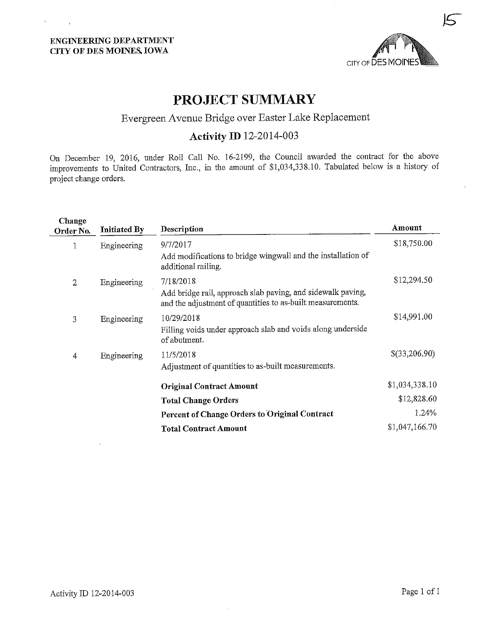$\sigma_{\rm{max}}$  and  $\sigma_{\rm{max}}$ 

 $\bar{1}$ 



 $\bar{\mathbf{r}}$ 

# PROJECT SUMMARY

## Evergreen Avenue Bridge over Easter Lake Replacement

## Activity ID 12-2014-003

On December 19, 2016, under Roll Call No. 16-2199, the Council awarded the contract for the above improvements to United Cont-actors, Inc., in the amount of \$1,034,338.10. Tabulated below is a history of project change orders.

| Change<br>Order No. | <b>Initiated By</b> | Description                                                                                                                            | Amount         |
|---------------------|---------------------|----------------------------------------------------------------------------------------------------------------------------------------|----------------|
| 1                   | Engineering         | 9/7/2017<br>Add modifications to bridge wingwall and the installation of<br>additional railing.                                        | \$18,750.00    |
| 2                   | Engineering         | 7/18/2018<br>Add bridge rail, approach slab paving, and sidewalk paving,<br>and the adjustment of quantities to as-built measurements. | \$12,294.50    |
| 3                   | Engineering         | 10/29/2018<br>Filling voids under approach slab and voids along underside<br>of abutment.                                              | \$14,991.00    |
| 4                   | Engineering         | 11/5/2018<br>Adjustment of quantities to as-built measurements.                                                                        | \$(33,206.90)  |
|                     |                     | <b>Original Contract Amount</b>                                                                                                        | \$1,034,338.10 |
|                     |                     | <b>Total Change Orders</b>                                                                                                             | \$12,828.60    |
|                     |                     | Percent of Change Orders to Original Contract                                                                                          | 1.24%          |
|                     |                     | <b>Total Contract Amount</b>                                                                                                           | \$1,047,166.70 |

÷.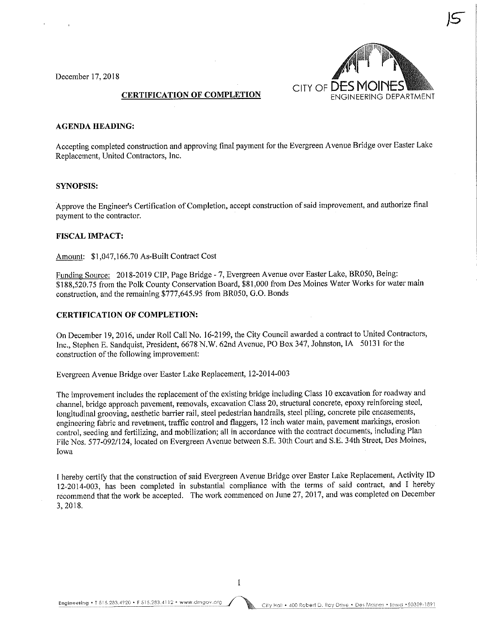December 17,2018



 $\sqrt{5}$ 

#### CERTIFICATION OF COMPLETION

#### AGENDA HEADING:

Accepting completed construction and approving final payment for the Evergreen Avenue Bridge over Easter Lake Replacement, United Contractors, Inc.

#### SYNOPSIS:

Approve the Engineer's Certification of Completion, accept construction of said improvement, and authorize final payment to the contractor.

#### FISCAL IMPACT:

Amount:  $$1,047,166.70$  As-Built Contract Cost

Funding Source: 2018-2019 CIP, Page Bridge - 7, Evergreen Avenue over Easter Lake, BR050, Being: \$188,520.75 from the Polk County Conservation Board, \$81,000 from Des Moines Water Works for water main construction, and the remaining \$777,645.95 from BR050, G.O. Bonds

#### CERTIFICATION OF COMPLETION:

On December 19, 2016, under Roll Call No. 16-2199, the City Council awarded a contract to United Contractors, Inc., Stephen E. Sandquist, President, 6678 N.W. 62nd Avenue, PO Box 347, Johnston, IA 50131 for the construction of the following improvement:

Evergreen Avenue Bridge over Easter Lake Replacement, 12-2014-003

The improvement includes the replacement of the existing bridge including Class 10 excavation for roadway and channel, bridge approach pavement, removals, excavation Class 20, structural concrete, epoxy reinforcing steel, longitudinal grooving, aesthetic barrier rail, steel pedestrian handrails, steel piling, concrete pile encasements, engineering fabric and revetment, traffic control and flaggers, 12 inch water main, pavement markings, erosion control, seeding and fertilizing, and mobilization; all in accordance with the contract documents, including Plan File Nos. 577-092/124, located on Evergreen Avenue between S.E. 30th Court and S.E. 34th Street, Des Moines, Iowa

I hereby certify that the construction of said Evergreen Avenue Bridge over Easter Lake Replacement, Activity ID 12-2014-003, has been completed in substantial compliance with the terms of said contract, and I hereby recommend that the work be accepted. The work commenced on June 27, 2017, and was completed on December 3,2018.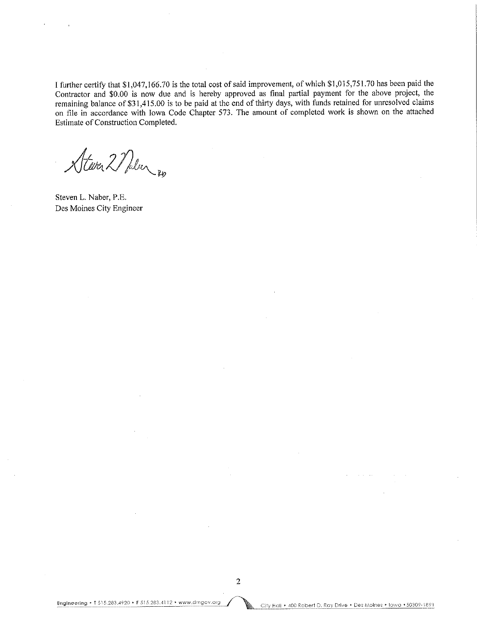I further certify that \$1,047.,166.70 is the total cost of said improvement, of which \$1,015,751.70 has been paid the Contractor and \$0.00 is now due and is hereby approved as final partial payment for the above project, the remaining balance of \$31,415,00 is to be paid at the end of thirty days, with funds retained for unresolved claims on file in accordance with Iowa Code Chapter 573. The amount of completed work is shown on the attached Estimate of Construction Completed.

Stever 2 Nalen 20

Steven L. Naber, P.E. Des Moines City Engineer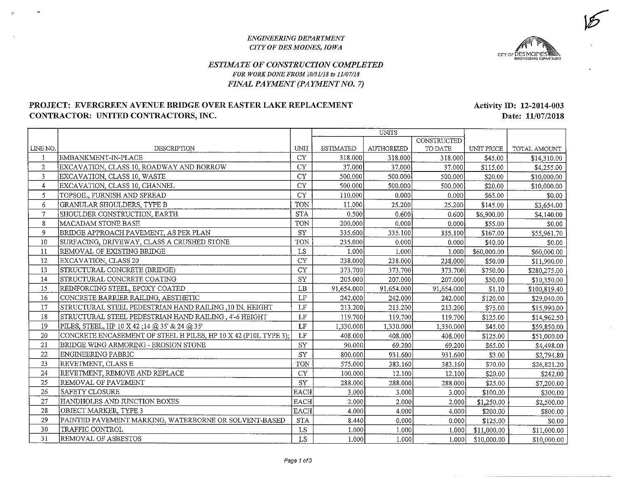#### ENGINEEKING DEPARTMENTCITY OF DES MOINES, IOWA



 $\overline{\mathcal{C}}$ 

### ESTIMATE OF CONSTRUCTION COMPLETEDFOR WORK DONE FROM 10/31/18 to 11/07/18FINAL PAYMENT (PAYMENT NO. 7)

### PROJECT: EVERGREEN AVENUE BRIDGE OVER EASTER LAKE REPLACEMENTCONTRACTOR: UNITED CONTRACTORS, INC.

Activity ID: 12-2014-003Date: 11/07/2018

|                |                                                                 |                      |                  | <b>UNITS</b> |             |             |              |
|----------------|-----------------------------------------------------------------|----------------------|------------------|--------------|-------------|-------------|--------------|
|                |                                                                 |                      |                  |              | CONSTRUCTED |             |              |
| LINE NO.       | DESCRIPTION                                                     | UNIT                 | <b>ESTIMATED</b> | AUTHORIZED   | TO DATE     | UNIT PRICE  | TOTAL AMOUNT |
| 1              | EMBANKMENT-IN-PLACE                                             | CY                   | 318.000          | 318.000      | 318.000     | \$45.00     | \$14,310.00  |
| $\overline{2}$ | EXCAVATION, CLASS 10, ROADWAY AND BORROW                        | <b>CY</b>            | 37.000           | 37.000       | 37.000      | \$115.00    | \$4,255.00   |
| 3              | EXCAVATION, CLASS 10, WASTE                                     | CY                   | 500.000          | 500.000      | 500.000     | \$20.00     | \$10,000.00  |
| 4              | EXCAVATION, CLASS 10, CHANNEL                                   | <b>CY</b>            | 500.000          | 500.000      | 500.000     | \$20.00     | \$10,000.00  |
| 5              | TOPSOIL, FURNISH AND SPREAD                                     | CY                   | 110.000          | 0.000        | 0.000       | \$65.00     | \$0.00       |
| $\epsilon$     | GRANULAR SHOULDERS, TYPE B                                      | TON                  | 11.000           | 25,200       | 25,200      | \$145.00    | \$3,654.00   |
| $\overline{7}$ | SHOULDER CONSTRUCTION, EARTH                                    | <b>STA</b>           | 0.500            | 0.600        | 0.600       | \$6,900.00  | \$4,140.00   |
| $\bf 8$        | MACADAM STONE BASE                                              | <b>TON</b>           | 200.000          | 0.000        | 0.000       | \$55.00     | \$0.00       |
| 9              | BRIDGE APPROACH PAVEMENT, AS PER PLAN                           | SY                   | 335.600          | 335.100      | 335.100     | \$167.00    | \$55,961.70  |
| $10\,$         | SURFACING, DRIVEWAY, CLASS A CRUSHED STONE                      | <b>TON</b>           | 235.000          | 0.000        | 0.000       | \$40.00     | \$0.00       |
| 11             | REMOVAL OF EXISTING BRIDGE                                      | LS                   | 1.000            | 1.000        | 1.000       | \$60,000.00 | \$60,000.00  |
| 12             | EXCAVATION, CLASS 20                                            | <b>CY</b>            | 238.000          | 238.000      | 238.000     | \$50.00     | \$11,900.00  |
| 13             | STRUCTURAL CONCRETE (BRIDGE)                                    | CY                   | 373.700          | 373.700      | 373.700     | \$750.00    | \$280,275.00 |
| 14             | STRUCTURAL CONCRETE COATING                                     | SY                   | 205.000          | 207.000      | 207.000     | \$50.00     | \$10,350.00  |
| 15             | REINFORCING STEEL, EPOXY COATED                                 | LB                   | 91,654.000       | 91,654.000   | 91,654.000  | \$1.10      | \$100,819.40 |
| 16             | CONCRETE BARRIER RAILING, AESTHETIC                             | LF                   | 242.000          | 242.000      | 242,000     | \$120.00    | \$29,040.00  |
| 17             | STRUCTURAL STEEL PEDESTRIAN HAND RAILING .10 IN. HEIGHT         | LF                   | 213.200          | 213.200      | 213.200     | \$75.00     | \$15,990.00  |
| 18             | STRUCTURAL STEEL PEDESTRIAN HAND RAILING , 4'-6 HEIGHT          | $\rm LF$             | 119.700          | 119.700      | 119.700     | \$125.00    | \$14,962.50  |
| 19             | PILES, STEEL, HP 10 X 42 ;14 @ 35' & 24 @ 35'                   | $\rm LF$             | 1,330.000        | 1,330.000    | 1,330.000   | \$45.00     | \$59,850.00  |
| 20             | CONCRETE ENCASEMENT OF STEEL H PILES, HP 10 X 42 (P10L TYPE 3); | LF                   | 408.000          | 408.000      | 408.000     | \$125.00    | \$51,000.00  |
| 21             | BRIDGE WING ARMORING - EROSION STONE                            | SY                   | 90.000           | 69.200       | 69.200      | \$65.00     | \$4,498.00   |
| 22             | ENGINEERING FABRIC                                              | <b>SY</b>            | 800.000          | 931.600      | 931.600     | \$3.00      | \$2,794.80   |
| 23             | REVETMENT, CLASS E                                              | <b>TON</b>           | 575.000          | 383.160      | 383.160     | \$70.00     | \$26,821.20  |
| 24             | REVETMENT, REMOVE AND REPLACE                                   | <b>CY</b>            | 100.000          | 12.100       | 12.100      | \$20.00     | \$242.00     |
| 25             | REMOVAL OF PAVEMENT                                             | SY                   | 288.000          | 288.000      | 288.000     | \$25.00     | \$7,200.00   |
| 26             | SAFETY CLOSURE                                                  | <b>EACH</b>          | 3.000            | 3.000        | 3.000       | \$100.00    | \$300.00     |
| 27             | HANDHOLES AND JUNCTION BOXES                                    | <b>EACH</b>          | 2.000            | 2.000        | 2,000       | \$1,250.00  | \$2,500.00   |
| 28             | OBJECT MARKER, TYPE 3                                           | <b>EACH</b>          | 4.000            | 4.000        | 4.000       | \$200.00    | \$800.00     |
| 29             | PAINTED PAVEMENT MARKING, WATERBORNE OR SOLVENT-BASED           | $\operatorname{STA}$ | 8.440            | 0.000        | 0.000       | \$125.00    | \$0.00       |
| 30             | TRAFFIC CONTROL                                                 | LS                   | 1.000            | 1.000        | 1.000       | \$11,000.00 | \$11,000.00  |
| 31             | REMOVAL OF ASBESTOS                                             | LS                   | 1.000            | 1.000        | 1,000       | \$10,000.00 | \$10,000.00  |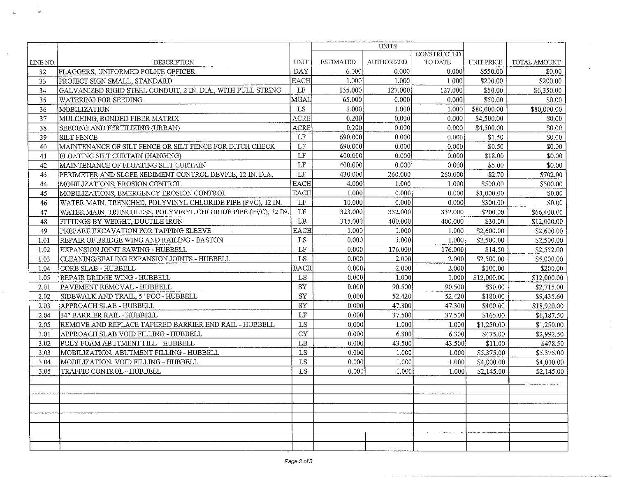| UNIT<br><b>ESTIMATED</b><br>AUTHORIZED<br>TO DATE<br>UNIT PRICE<br><b>DESCRIPTION</b><br>TOTAL AMOUNT<br>LINE NO.<br>DAY<br>6.000<br>0.000<br>0.000<br>FLAGGERS, UNIFORMED POLICE OFFICER<br>\$550.00<br>\$0.00<br>32<br><b>EACH</b><br>1.000<br>\$200.00<br>PROJECT SIGN SMALL, STANDARD<br>1.000<br>1.000<br>\$200.00<br>33<br>LF<br>135.000<br>\$50.00<br>GALVANIZED RIGID STEEL CONDUIT, 2 IN. DIA., WITH PULL STRING<br>127.000<br>127.000<br>\$6,350.00<br>34<br>MGAL<br>65.000<br>0.000<br>0.000<br>\$50.00<br>\$0.00<br>35<br><b>WATERING FOR SEEDING</b><br>LS<br>1.000<br>1.000<br>\$80,000.00<br>MOBILIZATION<br>1.000<br>\$80,000.00<br>36<br>0.200<br>ACRE<br>0.000<br>0.000<br>\$4,500.00<br>37<br>MULCHING, BONDED FIBER MATRIX<br>\$0.00<br>ACRE<br>0.200<br>0.000<br>0.000<br>\$4,500.00<br>SEEDING AND FERTILIZING (URBAN)<br>\$0.00<br>38<br>LF<br>690.000<br>0.000<br>0.000<br>\$1.50<br>39<br><b>SILT FENCE</b><br>\$0.00<br>LF<br>690,000<br>0.000<br>0.000<br>\$0.50<br>40<br>MAINTENANCE OF SILT FENCE OR SILT FENCE FOR DITCH CHECK<br>\$0.00<br>$\operatorname{LF}$<br>400.000<br>0.000<br>0.000<br>\$18.00<br>\$0.00<br>41<br>FLOATING SILT CURTAIN (HANGING) |    |                                      |          | UNITS   |       |                    |        |            |
|------------------------------------------------------------------------------------------------------------------------------------------------------------------------------------------------------------------------------------------------------------------------------------------------------------------------------------------------------------------------------------------------------------------------------------------------------------------------------------------------------------------------------------------------------------------------------------------------------------------------------------------------------------------------------------------------------------------------------------------------------------------------------------------------------------------------------------------------------------------------------------------------------------------------------------------------------------------------------------------------------------------------------------------------------------------------------------------------------------------------------------------------------------------------------------------|----|--------------------------------------|----------|---------|-------|--------------------|--------|------------|
|                                                                                                                                                                                                                                                                                                                                                                                                                                                                                                                                                                                                                                                                                                                                                                                                                                                                                                                                                                                                                                                                                                                                                                                          |    |                                      |          |         |       | <b>CONSTRUCTED</b> |        |            |
|                                                                                                                                                                                                                                                                                                                                                                                                                                                                                                                                                                                                                                                                                                                                                                                                                                                                                                                                                                                                                                                                                                                                                                                          |    |                                      |          |         |       |                    |        |            |
|                                                                                                                                                                                                                                                                                                                                                                                                                                                                                                                                                                                                                                                                                                                                                                                                                                                                                                                                                                                                                                                                                                                                                                                          |    |                                      |          |         |       |                    |        |            |
|                                                                                                                                                                                                                                                                                                                                                                                                                                                                                                                                                                                                                                                                                                                                                                                                                                                                                                                                                                                                                                                                                                                                                                                          |    |                                      |          |         |       |                    |        |            |
|                                                                                                                                                                                                                                                                                                                                                                                                                                                                                                                                                                                                                                                                                                                                                                                                                                                                                                                                                                                                                                                                                                                                                                                          |    |                                      |          |         |       |                    |        |            |
|                                                                                                                                                                                                                                                                                                                                                                                                                                                                                                                                                                                                                                                                                                                                                                                                                                                                                                                                                                                                                                                                                                                                                                                          |    |                                      |          |         |       |                    |        |            |
|                                                                                                                                                                                                                                                                                                                                                                                                                                                                                                                                                                                                                                                                                                                                                                                                                                                                                                                                                                                                                                                                                                                                                                                          |    |                                      |          |         |       |                    |        |            |
|                                                                                                                                                                                                                                                                                                                                                                                                                                                                                                                                                                                                                                                                                                                                                                                                                                                                                                                                                                                                                                                                                                                                                                                          |    |                                      |          |         |       |                    |        |            |
|                                                                                                                                                                                                                                                                                                                                                                                                                                                                                                                                                                                                                                                                                                                                                                                                                                                                                                                                                                                                                                                                                                                                                                                          |    |                                      |          |         |       |                    |        |            |
|                                                                                                                                                                                                                                                                                                                                                                                                                                                                                                                                                                                                                                                                                                                                                                                                                                                                                                                                                                                                                                                                                                                                                                                          |    |                                      |          |         |       |                    |        |            |
|                                                                                                                                                                                                                                                                                                                                                                                                                                                                                                                                                                                                                                                                                                                                                                                                                                                                                                                                                                                                                                                                                                                                                                                          |    |                                      |          |         |       |                    |        |            |
|                                                                                                                                                                                                                                                                                                                                                                                                                                                                                                                                                                                                                                                                                                                                                                                                                                                                                                                                                                                                                                                                                                                                                                                          |    |                                      |          |         |       |                    |        |            |
|                                                                                                                                                                                                                                                                                                                                                                                                                                                                                                                                                                                                                                                                                                                                                                                                                                                                                                                                                                                                                                                                                                                                                                                          | 42 | MAINTENANCE OF FLOATING SILT CURTAIN | $\rm LF$ | 400.000 | 0.000 | 0.000              | \$5.00 | \$0.00     |
| LF<br>PERIMETER AND SLOPE SEDIMENT CONTROL DEVICE, 12 IN. DIA.<br>430.000<br>260.000<br>260.000<br>\$2.70<br>\$702.00<br>43                                                                                                                                                                                                                                                                                                                                                                                                                                                                                                                                                                                                                                                                                                                                                                                                                                                                                                                                                                                                                                                              |    |                                      |          |         |       |                    |        |            |
| <b>EACH</b><br>4.000<br>1.000<br>1.000<br>\$500.00<br>44<br>MOBILIZATIONS, EROSION CONTROL<br>\$500.00                                                                                                                                                                                                                                                                                                                                                                                                                                                                                                                                                                                                                                                                                                                                                                                                                                                                                                                                                                                                                                                                                   |    |                                      |          |         |       |                    |        |            |
| <b>EACH</b><br>MOBILIZATIONS, EMERGENCY EROSION CONTROL<br>1.000<br>0.000<br>0.000<br>\$1,000.00<br>45<br>\$0.00                                                                                                                                                                                                                                                                                                                                                                                                                                                                                                                                                                                                                                                                                                                                                                                                                                                                                                                                                                                                                                                                         |    |                                      |          |         |       |                    |        |            |
| LF<br>WATER MAIN, TRENCHED, POLYVINYL CHLORIDE PIPE (PVC), 12 IN.<br>10.000<br>0.000<br>0.000<br>\$300.00<br>\$0.00<br>46                                                                                                                                                                                                                                                                                                                                                                                                                                                                                                                                                                                                                                                                                                                                                                                                                                                                                                                                                                                                                                                                |    |                                      |          |         |       |                    |        |            |
| LF<br>323.000<br>332.000<br>47<br>WATER MAIN, TRENCHLESS, POLYVINYL CHLORIDE PIPE (PVC), 12 IN.<br>332.000<br>\$200.00<br>\$66,400.00                                                                                                                                                                                                                                                                                                                                                                                                                                                                                                                                                                                                                                                                                                                                                                                                                                                                                                                                                                                                                                                    |    |                                      |          |         |       |                    |        |            |
| LB<br>315.000<br>400.000<br>\$30.00<br>48<br>FITTINGS BY WEIGHT, DUCTILE IRON<br>400.000<br>\$12,000.00                                                                                                                                                                                                                                                                                                                                                                                                                                                                                                                                                                                                                                                                                                                                                                                                                                                                                                                                                                                                                                                                                  |    |                                      |          |         |       |                    |        |            |
| <b>EACH</b><br>1.000<br>1.000<br>PREPARE EXCAVATION FOR TAPPING SLEEVE<br>1.000<br>\$2,600.00<br>\$2,600.00<br>49                                                                                                                                                                                                                                                                                                                                                                                                                                                                                                                                                                                                                                                                                                                                                                                                                                                                                                                                                                                                                                                                        |    |                                      |          |         |       |                    |        |            |
| LS<br>0.000<br>1.000<br>\$2,500.00<br>REPAIR OF BRIDGE WING AND RAILING - EASTON<br>1.000<br>\$2,500.00<br>1.01                                                                                                                                                                                                                                                                                                                                                                                                                                                                                                                                                                                                                                                                                                                                                                                                                                                                                                                                                                                                                                                                          |    |                                      |          |         |       |                    |        |            |
| LF<br>0.000<br>176.000<br>EXPANSION JOINT SAWING - HUBBELL<br>176.000<br>\$14.50<br>1.02<br>\$2,552.00                                                                                                                                                                                                                                                                                                                                                                                                                                                                                                                                                                                                                                                                                                                                                                                                                                                                                                                                                                                                                                                                                   |    |                                      |          |         |       |                    |        |            |
| LS<br>0.000<br>2.000<br> CLEANING/SEALING EXPANSION JOINTS - HUBBELL<br>2.000<br>\$2,500.00<br>1.03<br>\$5,000.00                                                                                                                                                                                                                                                                                                                                                                                                                                                                                                                                                                                                                                                                                                                                                                                                                                                                                                                                                                                                                                                                        |    |                                      |          |         |       |                    |        |            |
| <b>EACH</b><br>0.000<br>2.000<br>CORE SLAB - HUBBELL<br>2.000<br>\$100.00<br>\$200.00<br>1.04                                                                                                                                                                                                                                                                                                                                                                                                                                                                                                                                                                                                                                                                                                                                                                                                                                                                                                                                                                                                                                                                                            |    |                                      |          |         |       |                    |        |            |
| LS<br>0.000<br>1.000<br>REPAIR BRIDGE WING - HUBBELL<br>1.000<br>\$12,000.00<br>\$12,000.00<br>1.05                                                                                                                                                                                                                                                                                                                                                                                                                                                                                                                                                                                                                                                                                                                                                                                                                                                                                                                                                                                                                                                                                      |    |                                      |          |         |       |                    |        |            |
| ${\rm SY}$<br>0.000<br>90.500<br>PAVEMENT REMOVAL - HUBBELL<br>90.500<br>\$30.00<br>\$2,715.00<br>2.01                                                                                                                                                                                                                                                                                                                                                                                                                                                                                                                                                                                                                                                                                                                                                                                                                                                                                                                                                                                                                                                                                   |    |                                      |          |         |       |                    |        |            |
| ${\rm SY}$<br>0.000<br>SIDEWALK AND TRAIL, 5" PCC - HUBBELL<br>52.420<br>52.420<br>\$180.00<br>\$9,435.60<br>2.02                                                                                                                                                                                                                                                                                                                                                                                                                                                                                                                                                                                                                                                                                                                                                                                                                                                                                                                                                                                                                                                                        |    |                                      |          |         |       |                    |        |            |
| SY<br>0.000<br>APPROACH SLAB - HUBBELL<br>47.300<br>47.300<br>\$400.00<br>2.03<br>\$18,920.00                                                                                                                                                                                                                                                                                                                                                                                                                                                                                                                                                                                                                                                                                                                                                                                                                                                                                                                                                                                                                                                                                            |    |                                      |          |         |       |                    |        |            |
| $\rm LF$<br>0.000<br>37.500<br>134" BARRIER RAIL - HUBBELL<br>37.500<br>\$165.00<br>\$6,187.50<br>2.04                                                                                                                                                                                                                                                                                                                                                                                                                                                                                                                                                                                                                                                                                                                                                                                                                                                                                                                                                                                                                                                                                   |    |                                      |          |         |       |                    |        |            |
| LS<br>0.000<br>REMOVE AND REPLACE TAPERED BARRIER END RAIL - HUBBELL<br>1.000<br>1.000<br>\$1,250.00<br>2.05<br>\$1,250.00                                                                                                                                                                                                                                                                                                                                                                                                                                                                                                                                                                                                                                                                                                                                                                                                                                                                                                                                                                                                                                                               |    |                                      |          |         |       |                    |        |            |
| ${\rm CY}$<br>0.000<br>APPROACH SLAB VOID FILLING - HUBBELL<br>6.300<br>6.300<br>\$475.00<br>3.01                                                                                                                                                                                                                                                                                                                                                                                                                                                                                                                                                                                                                                                                                                                                                                                                                                                                                                                                                                                                                                                                                        |    |                                      |          |         |       |                    |        | \$2,992.50 |
| LB<br>POLY FOAM ABUTMENT FILL - HUBBELL<br>0.000<br>43.500<br>\$11.00<br>3.02<br>43.500                                                                                                                                                                                                                                                                                                                                                                                                                                                                                                                                                                                                                                                                                                                                                                                                                                                                                                                                                                                                                                                                                                  |    |                                      |          |         |       |                    |        | \$478.50   |
| LS<br>0.000<br>MOBILIZATION, ABUTMENT FILLING - HUBBELL<br>1.000<br>\$5,375.00<br>3.03<br>1.000                                                                                                                                                                                                                                                                                                                                                                                                                                                                                                                                                                                                                                                                                                                                                                                                                                                                                                                                                                                                                                                                                          |    |                                      |          |         |       |                    |        | \$5,375.00 |
| ${\rm LS}$<br>3.04<br>MOBILIZATION, VOID FILLING - HUBBELL<br>0.000<br>1.000<br>\$4,000.00<br>1.000                                                                                                                                                                                                                                                                                                                                                                                                                                                                                                                                                                                                                                                                                                                                                                                                                                                                                                                                                                                                                                                                                      |    |                                      |          |         |       |                    |        | \$4,000.00 |
| LS<br>0.000<br>3.05<br>TRAFFIC CONTROL - HUBBELL<br>1.000<br>1.000<br>\$2,145.00                                                                                                                                                                                                                                                                                                                                                                                                                                                                                                                                                                                                                                                                                                                                                                                                                                                                                                                                                                                                                                                                                                         |    |                                      |          |         |       |                    |        | \$2,145.00 |
|                                                                                                                                                                                                                                                                                                                                                                                                                                                                                                                                                                                                                                                                                                                                                                                                                                                                                                                                                                                                                                                                                                                                                                                          |    |                                      |          |         |       |                    |        |            |
|                                                                                                                                                                                                                                                                                                                                                                                                                                                                                                                                                                                                                                                                                                                                                                                                                                                                                                                                                                                                                                                                                                                                                                                          |    |                                      |          |         |       |                    |        |            |
|                                                                                                                                                                                                                                                                                                                                                                                                                                                                                                                                                                                                                                                                                                                                                                                                                                                                                                                                                                                                                                                                                                                                                                                          |    |                                      |          |         |       |                    |        |            |
|                                                                                                                                                                                                                                                                                                                                                                                                                                                                                                                                                                                                                                                                                                                                                                                                                                                                                                                                                                                                                                                                                                                                                                                          |    |                                      |          |         |       |                    |        |            |
|                                                                                                                                                                                                                                                                                                                                                                                                                                                                                                                                                                                                                                                                                                                                                                                                                                                                                                                                                                                                                                                                                                                                                                                          |    |                                      |          |         |       |                    |        |            |
|                                                                                                                                                                                                                                                                                                                                                                                                                                                                                                                                                                                                                                                                                                                                                                                                                                                                                                                                                                                                                                                                                                                                                                                          |    |                                      |          |         |       |                    |        |            |
|                                                                                                                                                                                                                                                                                                                                                                                                                                                                                                                                                                                                                                                                                                                                                                                                                                                                                                                                                                                                                                                                                                                                                                                          |    |                                      |          |         |       |                    |        |            |
|                                                                                                                                                                                                                                                                                                                                                                                                                                                                                                                                                                                                                                                                                                                                                                                                                                                                                                                                                                                                                                                                                                                                                                                          |    |                                      |          |         |       |                    |        |            |

 $\overline{a}$ 

 $\frac{1}{4}$ 

 $\bullet$ 

 $\mathbb{R}^2$ 

 $\sim$   $\mu$ 

 $\sim$